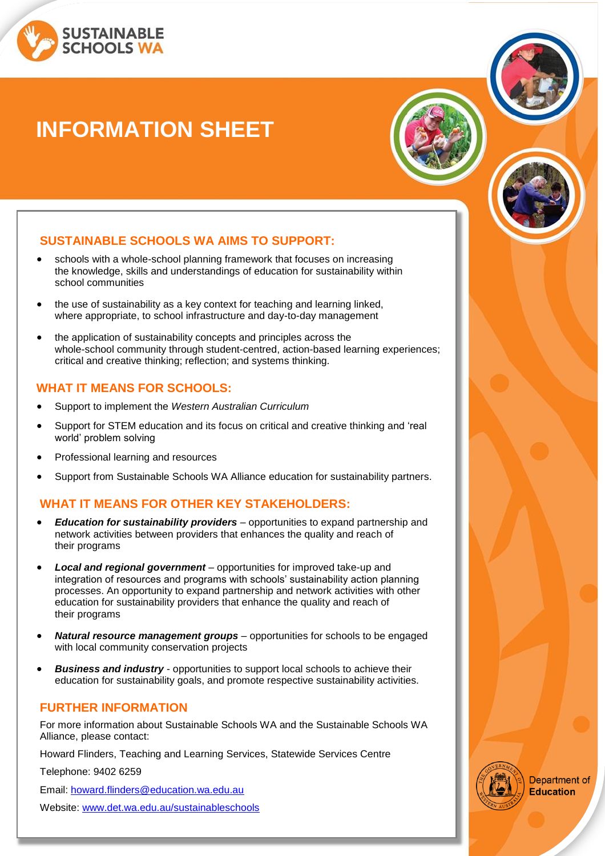

# **INFORMATION SHEET**



## **SUSTAINABLE SCHOOLS WA AIMS TO SUPPORT:**

- schools with a whole-school planning framework that focuses on increasing the knowledge, skills and understandings of education for sustainability within school communities
- the use of sustainability as a key context for teaching and learning linked, where appropriate, to school infrastructure and day-to-day management
- the application of sustainability concepts and principles across the whole-school community through student-centred, action-based learning experiences; critical and creative thinking; reflection; and systems thinking.

#### **WHAT IT MEANS FOR SCHOOLS:**

- Support to implement the *Western Australian Curriculum*
- Support for STEM education and its focus on critical and creative thinking and 'real world' problem solving
- Professional learning and resources
- Support from Sustainable Schools WA Alliance education for sustainability partners.

## **WHAT IT MEANS FOR OTHER KEY STAKEHOLDERS:**

- *Education for sustainability providers* opportunities to expand partnership and network activities between providers that enhances the quality and reach of their programs
- *Local and regional government* opportunities for improved take-up and integration of resources and programs with schools' sustainability action planning processes. An opportunity to expand partnership and network activities with other education for sustainability providers that enhance the quality and reach of their programs
- *Natural resource management groups* opportunities for schools to be engaged with local community conservation projects
- **Business and industry** opportunities to support local schools to achieve their education for sustainability goals, and promote respective sustainability activities.

#### **FURTHER INFORMATION**

For more information about Sustainable Schools WA and the Sustainable Schools WA Alliance, please contact:

Howard Flinders, Teaching and Learning Services, Statewide Services Centre

Telephone: 9402 6259

Email: [howard.flinders@education.wa.edu.au](mailto:howard.flinders@education.wa.edu.au)

Website: [www.det.wa.edu.au/sustainableschools](http://www.det.wa.edu.au/sustainableschools)



**Department of Education**